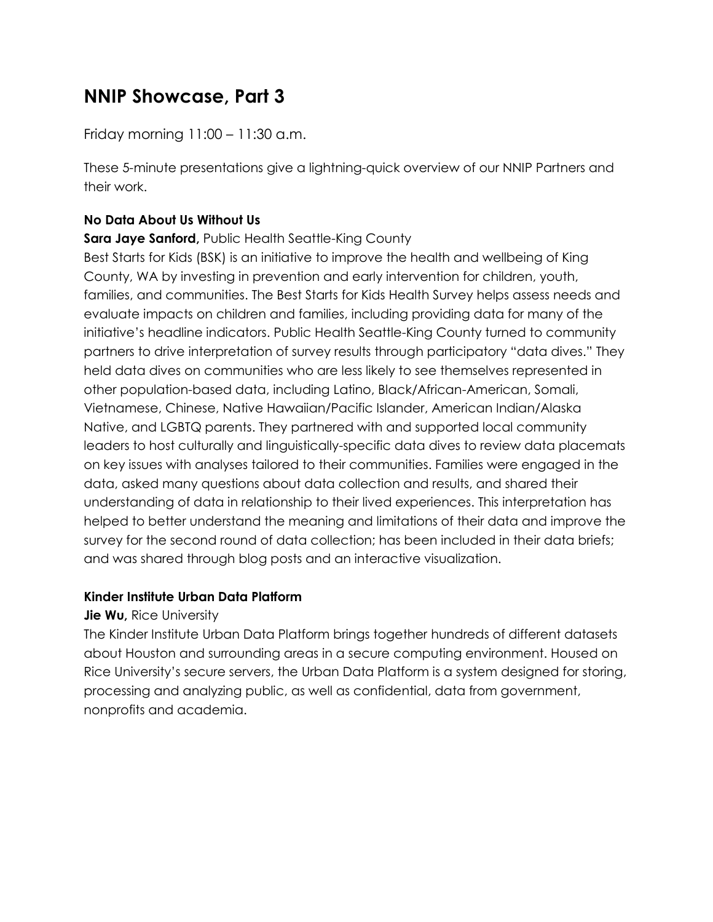# **NNIP Showcase, Part 3**

Friday morning 11:00 – 11:30 a.m.

These 5-minute presentations give a lightning-quick overview of our NNIP Partners and their work.

### **No Data About Us Without Us**

#### **Sara Jaye Sanford, Public Health Seattle-King County**

Best Starts for Kids (BSK) is an initiative to improve the health and wellbeing of King County, WA by investing in prevention and early intervention for children, youth, families, and communities. The Best Starts for Kids Health Survey helps assess needs and evaluate impacts on children and families, including providing data for many of the initiative's headline indicators. Public Health Seattle-King County turned to community partners to drive interpretation of survey results through participatory "data dives." They held data dives on communities who are less likely to see themselves represented in other population-based data, including Latino, Black/African-American, Somali, Vietnamese, Chinese, Native Hawaiian/Pacific Islander, American Indian/Alaska Native, and LGBTQ parents. They partnered with and supported local community leaders to host culturally and linguistically-specific data dives to review data placemats on key issues with analyses tailored to their communities. Families were engaged in the data, asked many questions about data collection and results, and shared their understanding of data in relationship to their lived experiences. This interpretation has helped to better understand the meaning and limitations of their data and improve the survey for the second round of data collection; has been included in their data briefs; and was shared through blog posts and an interactive visualization.

#### **Kinder Institute Urban Data Platform**

#### **Jie Wu, Rice University**

The Kinder Institute Urban Data Platform brings together hundreds of different datasets about Houston and surrounding areas in a secure computing environment. Housed on Rice University's secure servers, the Urban Data Platform is a system designed for storing, processing and analyzing public, as well as confidential, data from government, nonprofits and academia.